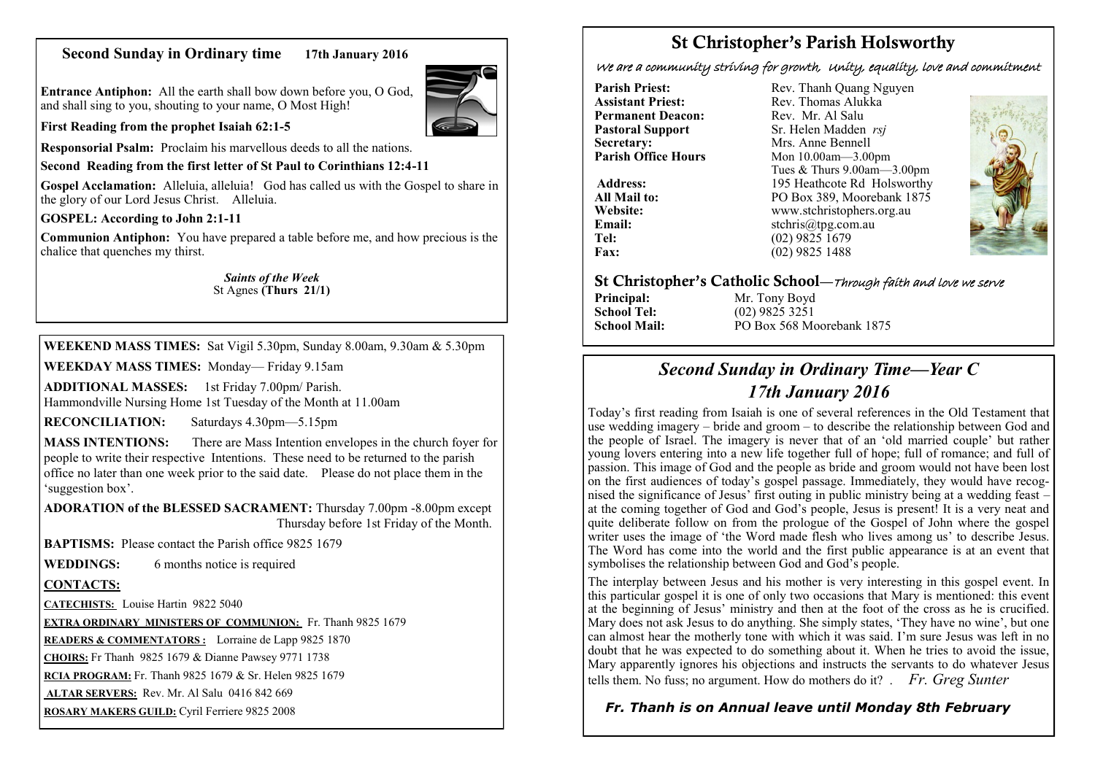## **Second Sunday in Ordinary time 17th January 2016**

**Entrance Antiphon:** All the earth shall bow down before you, O God, and shall sing to you, shouting to your name, O Most High!

**First Reading from the prophet Isaiah 62:1-5**

**Responsorial Psalm:** Proclaim his marvellous deeds to all the nations.

**Second Reading from the first letter of St Paul to Corinthians 12:4-11**

Gospel Acclamation: Alleluia, alleluia! God has called us with the Gospel to share in the glory of our Lord Jesus Christ. Alleluia.

**GOSPEL: According to John 2:1-11**

**Communion Antiphon:** You have prepared a table before me, and how precious is the chalice that quenches my thirst.

#### *Saints of the Week* St Agnes **(Thurs 21/1)**

**WEEKEND MASS TIMES:** Sat Vigil 5.30pm, Sunday 8.00am, 9.30am & 5.30pm

**WEEKDAY MASS TIMES:** Monday— Friday 9.15am

**ADDITIONAL MASSES:** 1st Friday 7.00pm/ Parish. Hammondville Nursing Home 1st Tuesday of the Month at 11.00am

**RECONCILIATION:** Saturdays 4.30pm—5.15pm

**MASS INTENTIONS:** There are Mass Intention envelopes in the church foyer for people to write their respective Intentions. These need to be returned to the parish office no later than one week prior to the said date. Please do not place them in the 'suggestion box'.

**ADORATION of the BLESSED SACRAMENT:** Thursday 7.00pm -8.00pm except Thursday before 1st Friday of the Month.

**BAPTISMS:** Please contact the Parish office 9825 1679

**WEDDINGS:** 6 months notice is required

#### **CONTACTS:**

**CATECHISTS:** Louise Hartin 9822 5040

**EXTRA ORDINARY MINISTERS OF COMMUNION:** Fr. Thanh 9825 1679

**READERS & COMMENTATORS :** Lorraine de Lapp 9825 1870

**CHOIRS:** Fr Thanh 9825 1679 & Dianne Pawsey 9771 1738

**RCIA PROGRAM:** Fr. Thanh 9825 1679 & Sr. Helen 9825 1679

**ALTAR SERVERS:** Rev. Mr. Al Salu 0416 842 669

**ROSARY MAKERS GUILD:** Cyril Ferriere 9825 2008

## **St Christopher's Parish Holsworthy**

We are a community striving for growth, Unity, equality, love and commitment

**Permanent Deacon:**<br>**Pastoral Support Secretary:** Mrs. Anne Bennell<br> **Parish Office Hours** Mon 10.00am - 3.00

**Parish Priest:** Rev. Thanh Quang Nguyen<br> **Assistant Priest:** Rev. Thomas Alukka Rev. Thomas Alukka<sup>N</sup><br>Rev. Mr. Al Salu **Pastoral Support** Sr. Helen Madden *rsj*<br>
Secretary: Mrs. Anne Bennell **Mon 10.00am—3.00pm** Tues & Thurs 9.00am—3.00pm Address: 195 Heathcote Rd Holsworthy **All Mail to:** PO Box 389, Moorebank 1875 **Website:** www.stchristophers.org.au<br> **Email:** stchris@tng.com au **Email:** stchris@tpg.com.au<br> **Tel:** (02) 9825 1679 **Tel:** (02) 9825 1679<br>**Fax:** (02) 9825 1488 **Fax:** (02) 9825 1488



#### **St Christopher's Catholic School—**Through faith and love we serve

**Principal:** Mr. Tony Boyd<br> **School Tel:** (02) 9825 3251

**School Tel:** (02) 9825 3251 **School Mail:** PO Box 568 Moorebank 1875

# *Second Sunday in Ordinary Time—Year C 17th January 2016*

Today's first reading from Isaiah is one of several references in the Old Testament that use wedding imagery – bride and groom – to describe the relationship between God and the people of Israel. The imagery is never that of an 'old married couple' but rather young lovers entering into a new life together full of hope; full of romance; and full of passion. This image of God and the people as bride and groom would not have been lost on the first audiences of today's gospel passage. Immediately, they would have recognised the significance of Jesus' first outing in public ministry being at a wedding feast – at the coming together of God and God's people, Jesus is present! It is a very neat and quite deliberate follow on from the prologue of the Gospel of John where the gospel writer uses the image of 'the Word made flesh who lives among us' to describe Jesus. The Word has come into the world and the first public appearance is at an event that symbolises the relationship between God and God's people.

The interplay between Jesus and his mother is very interesting in this gospel event. In this particular gospel it is one of only two occasions that Mary is mentioned: this event at the beginning of Jesus' ministry and then at the foot of the cross as he is crucified. Mary does not ask Jesus to do anything. She simply states, 'They have no wine', but one can almost hear the motherly tone with which it was said. I'm sure Jesus was left in no doubt that he was expected to do something about it. When he tries to avoid the issue, Mary apparently ignores his objections and instructs the servants to do whatever Jesus tells them. No fuss; no argument. How do mothers do it? . *Fr. Greg Sunter* 

## *Fr. Thanh is on Annual leave until Monday 8th February*